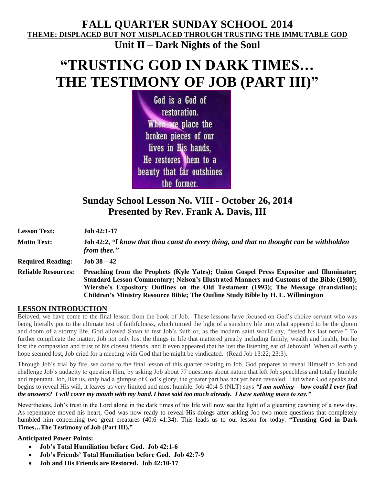## **FALL QUARTER SUNDAY SCHOOL 2014 THEME: DISPLACED BUT NOT MISPLACED THROUGH TRUSTING THE IMMUTABLE GOD Unit II – Dark Nights of the Soul**

# **"TRUSTING GOD IN DARK TIMES… THE TESTIMONY OF JOB (PART III)"**

God is a God of restoration. When we place the broken pieces of our lives in His hands, He restores them to a beauty that far outshines the former.

## **Sunday School Lesson No. VIII - October 26, 2014 Presented by Rev. Frank A. Davis, III**

| <b>Lesson Text:</b>        | <b>Job 42:1-17</b>                                                                                                                                                                                                                                                                                                                                                |
|----------------------------|-------------------------------------------------------------------------------------------------------------------------------------------------------------------------------------------------------------------------------------------------------------------------------------------------------------------------------------------------------------------|
| <b>Motto Text:</b>         | Job 42:2, "I know that thou canst do every thing, and that no thought can be withholden<br>from thee."                                                                                                                                                                                                                                                            |
| <b>Required Reading:</b>   | $Job$ 38 $-42$                                                                                                                                                                                                                                                                                                                                                    |
| <b>Reliable Resources:</b> | Preaching from the Prophets (Kyle Yates); Union Gospel Press Expositor and Illuminator;<br>Standard Lesson Commentary; Nelson's Illustrated Manners and Customs of the Bible (1980);<br>Wiersbe's Expository Outlines on the Old Testament (1993); The Message (translation);<br>Children's Ministry Resource Bible; The Outline Study Bible by H. L. Willmington |

#### **LESSON INTRODUCTION**

Beloved, we have come to the final lesson from the book of Job. These lessons have focused on God's choice servant who was being literally put to the ultimate test of faithfulness, which turned the light of a sunshiny life into what appeared to be the gloom and doom of a stormy life. God allowed Satan to test Job's faith or, as the modern saint would say, "tested his last nerve." To further complicate the matter, Job not only lost the things in life that mattered greatly including family, wealth and health, but he lost the compassion and trust of his closest friends, and it even appeared that he lost the listening ear of Jehovah! When all earthly hope seemed lost, Job cried for a meeting with God that he might be vindicated. (Read Job 13:22; 23:3).

Through Job's trial by fire, we come to the final lesson of this quarter relating to Job. God prepares to reveal Himself to Job and challenge Job's audacity to question Him, by asking Job about 77 questions about nature that left Job speechless and totally humble and repentant. Job, like us, only had a glimpse of God's glory; the greater part has not yet been revealed. But when God speaks and begins to reveal His will, it leaves us very limited and most humble. Job 40:4-5 (NLT) says *"I am nothing—how could I ever find the answers? I will cover my mouth with my hand.I have said too much already. I have nothing more to say."*

Nevertheless, Job's trust in the Lord alone in the dark times of his life will now see the light of a gleaming dawning of a new day. As repentance moved his heart, God was now ready to reveal His doings after asking Job two more questions that completely humbled him concerning two great creatures (40:6–41:34). This leads us to our lesson for today: **"Trusting God in Dark Times…The Testimony of Job (Part III)."**

#### **Anticipated Power Points:**

- **Job's Total Humiliation before God. Job 42:1-6**
- **Job's Friends' Total Humiliation before God. Job 42:7-9**
- **Job and His Friends are Restored. Job 42:10-17**